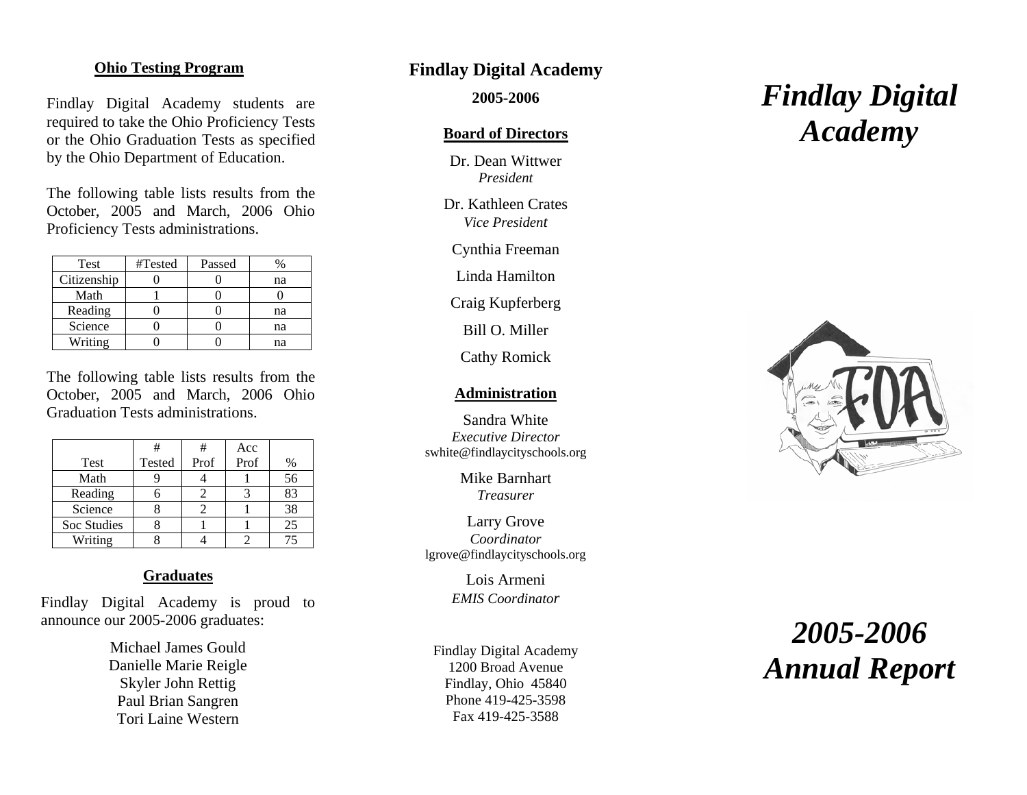# **Ohio Testing Program**

Findlay Digital Academy students are required to take the Ohio Proficiency Tests or the Ohio Graduation Tests as specified by the Ohio Department of Education.

The following table lists results from the October, 2005 and March, 2006 Ohio Proficiency Tests administrations.

| Test        | #Tested | Passed |    |
|-------------|---------|--------|----|
| Citizenship |         |        | na |
| Math        |         |        |    |
| Reading     |         |        | na |
| Science     |         |        | na |
| Writing     |         |        | na |

The following table lists results from the October, 2005 and March, 2006 Ohio Graduation Tests administrations.

|             |        | #    | Acc  |      |
|-------------|--------|------|------|------|
| Test        | Tested | Prof | Prof | $\%$ |
| Math        |        |      |      | 56   |
| Reading     |        |      |      | 83   |
| Science     |        |      |      | 38   |
| Soc Studies |        |      |      | 25   |
| Writing     |        |      |      |      |

# **Graduates**

Findlay Digital Academy is proud to announce our 2005-2006 graduates:

> Michael James Gould Danielle Marie Reigle Skyler John Rettig Paul Brian Sangren Tori Laine Western

# **Findlay Digital Academy**

 **2005-2006** 

#### **Board of Directors**

 Dr. Dean Wittwer *President* 

 Dr. Kathleen Crates *Vice President* 

Cynthia Freeman

Linda Hamilton

Craig Kupferberg

Bill O. Miller

Cathy Romick

#### **Administration**

 Sandra White *Executive Director* swhite@findlaycityschools.org

> Mike Barnhart *Treasurer*

 Larry Grove *Coordinator* lgrove@findlaycityschools.org

> Lois Armeni *EMIS Coordinator*

Findlay Digital Academy 1200 Broad Avenue Findlay, Ohio 45840 Phone 419-425-3598 Fax 419-425-3588

# *Findlay Digital Academy*



# *2005-2006 Annual Report*